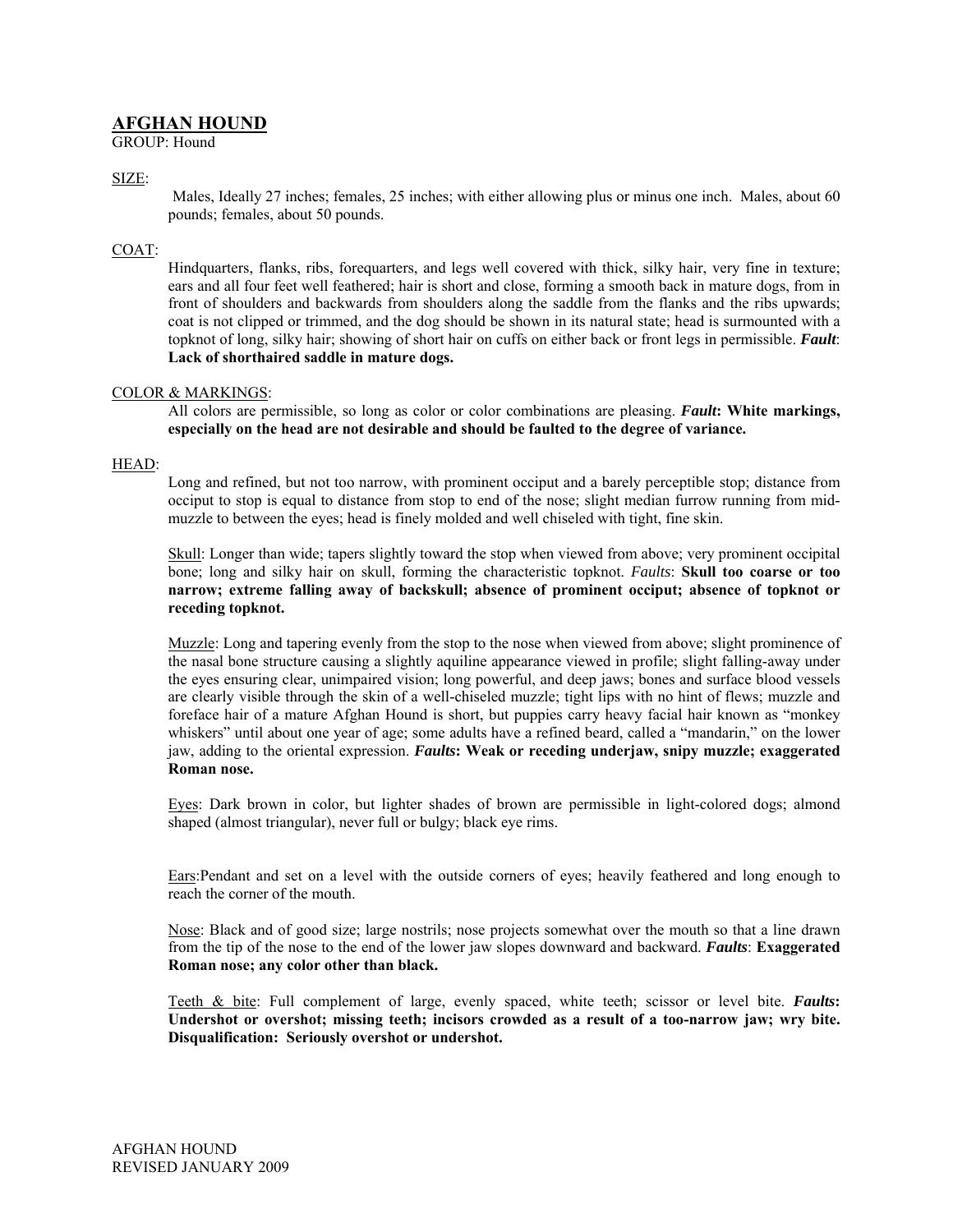# **AFGHAN HOUND**

GROUP: Hound

# SIZE:

Males, Ideally 27 inches; females, 25 inches; with either allowing plus or minus one inch. Males, about 60 pounds; females, about 50 pounds.

# COAT:

Hindquarters, flanks, ribs, forequarters, and legs well covered with thick, silky hair, very fine in texture; ears and all four feet well feathered; hair is short and close, forming a smooth back in mature dogs, from in front of shoulders and backwards from shoulders along the saddle from the flanks and the ribs upwards; coat is not clipped or trimmed, and the dog should be shown in its natural state; head is surmounted with a topknot of long, silky hair; showing of short hair on cuffs on either back or front legs in permissible. *Fault*: **Lack of shorthaired saddle in mature dogs.**

## COLOR & MARKINGS:

All colors are permissible, so long as color or color combinations are pleasing. *Fault***: White markings, especially on the head are not desirable and should be faulted to the degree of variance.** 

## HEAD:

Long and refined, but not too narrow, with prominent occiput and a barely perceptible stop; distance from occiput to stop is equal to distance from stop to end of the nose; slight median furrow running from midmuzzle to between the eyes; head is finely molded and well chiseled with tight, fine skin.

Skull: Longer than wide; tapers slightly toward the stop when viewed from above; very prominent occipital bone; long and silky hair on skull, forming the characteristic topknot. *Faults*: **Skull too coarse or too narrow; extreme falling away of backskull; absence of prominent occiput; absence of topknot or receding topknot.**

Muzzle: Long and tapering evenly from the stop to the nose when viewed from above; slight prominence of the nasal bone structure causing a slightly aquiline appearance viewed in profile; slight falling-away under the eyes ensuring clear, unimpaired vision; long powerful, and deep jaws; bones and surface blood vessels are clearly visible through the skin of a well-chiseled muzzle; tight lips with no hint of flews; muzzle and foreface hair of a mature Afghan Hound is short, but puppies carry heavy facial hair known as "monkey whiskers" until about one year of age; some adults have a refined beard, called a "mandarin," on the lower jaw, adding to the oriental expression. *Faults***: Weak or receding underjaw, snipy muzzle; exaggerated Roman nose.** 

Eyes: Dark brown in color, but lighter shades of brown are permissible in light-colored dogs; almond shaped (almost triangular), never full or bulgy; black eye rims.

Ears:Pendant and set on a level with the outside corners of eyes; heavily feathered and long enough to reach the corner of the mouth.

Nose: Black and of good size; large nostrils; nose projects somewhat over the mouth so that a line drawn from the tip of the nose to the end of the lower jaw slopes downward and backward. *Faults*: **Exaggerated Roman nose; any color other than black.**

Teeth & bite: Full complement of large, evenly spaced, white teeth; scissor or level bite. *Faults***: Undershot or overshot; missing teeth; incisors crowded as a result of a too-narrow jaw; wry bite. Disqualification: Seriously overshot or undershot.**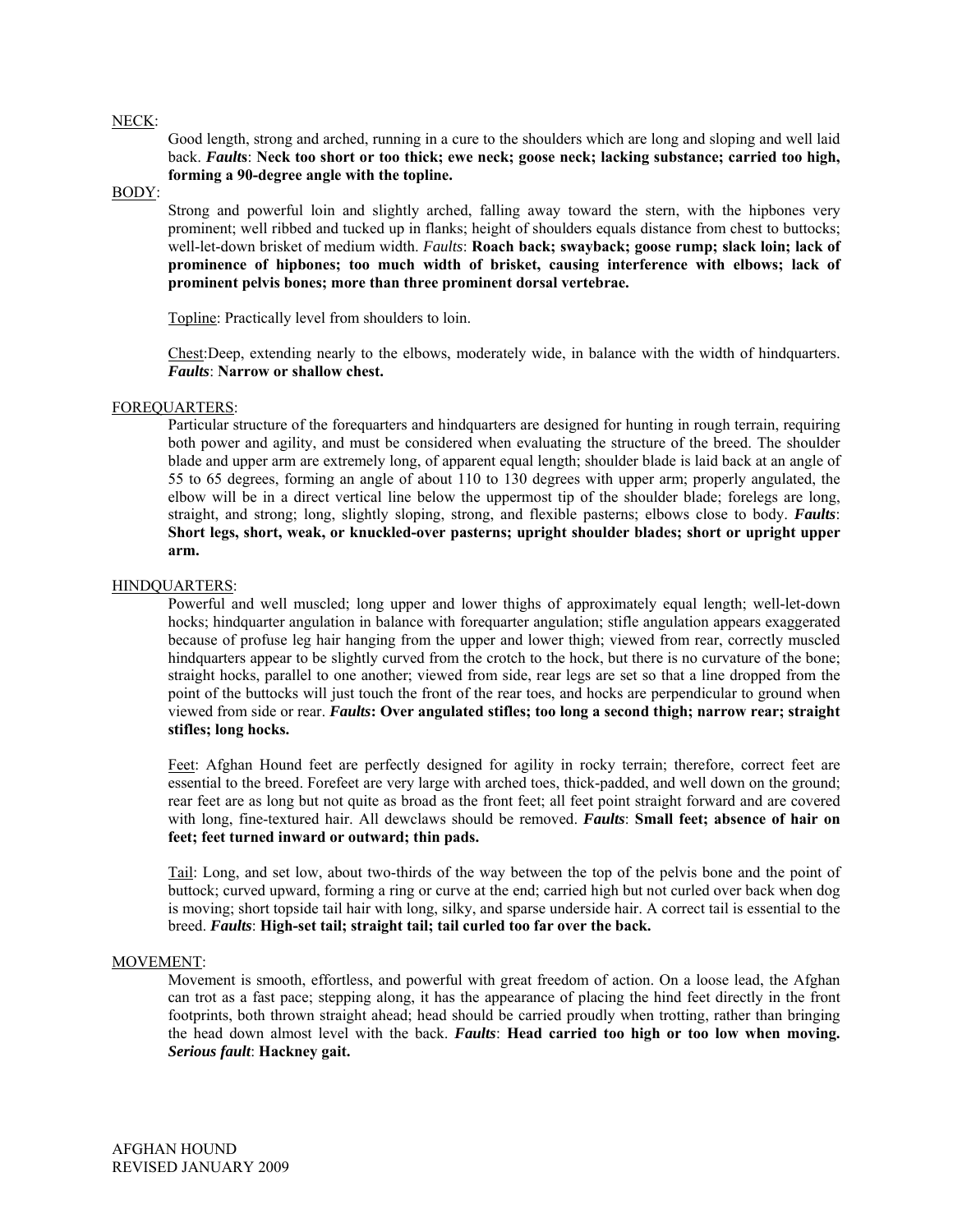### NECK:

Good length, strong and arched, running in a cure to the shoulders which are long and sloping and well laid back. *Fault***s**: **Neck too short or too thick; ewe neck; goose neck; lacking substance; carried too high, forming a 90-degree angle with the topline.** 

### BODY:

Strong and powerful loin and slightly arched, falling away toward the stern, with the hipbones very prominent; well ribbed and tucked up in flanks; height of shoulders equals distance from chest to buttocks; well-let-down brisket of medium width. *Faults*: **Roach back; swayback; goose rump; slack loin; lack of prominence of hipbones; too much width of brisket, causing interference with elbows; lack of prominent pelvis bones; more than three prominent dorsal vertebrae.** 

Topline: Practically level from shoulders to loin.

Chest:Deep, extending nearly to the elbows, moderately wide, in balance with the width of hindquarters. *Faults*: **Narrow or shallow chest.**

### FOREQUARTERS:

Particular structure of the forequarters and hindquarters are designed for hunting in rough terrain, requiring both power and agility, and must be considered when evaluating the structure of the breed. The shoulder blade and upper arm are extremely long, of apparent equal length; shoulder blade is laid back at an angle of 55 to 65 degrees, forming an angle of about 110 to 130 degrees with upper arm; properly angulated, the elbow will be in a direct vertical line below the uppermost tip of the shoulder blade; forelegs are long, straight, and strong; long, slightly sloping, strong, and flexible pasterns; elbows close to body. *Faults*: **Short legs, short, weak, or knuckled-over pasterns; upright shoulder blades; short or upright upper arm.** 

### HINDQUARTERS:

Powerful and well muscled; long upper and lower thighs of approximately equal length; well-let-down hocks; hindquarter angulation in balance with forequarter angulation; stifle angulation appears exaggerated because of profuse leg hair hanging from the upper and lower thigh; viewed from rear, correctly muscled hindquarters appear to be slightly curved from the crotch to the hock, but there is no curvature of the bone; straight hocks, parallel to one another; viewed from side, rear legs are set so that a line dropped from the point of the buttocks will just touch the front of the rear toes, and hocks are perpendicular to ground when viewed from side or rear. *Faults***: Over angulated stifles; too long a second thigh; narrow rear; straight stifles; long hocks.** 

Feet: Afghan Hound feet are perfectly designed for agility in rocky terrain; therefore, correct feet are essential to the breed. Forefeet are very large with arched toes, thick-padded, and well down on the ground; rear feet are as long but not quite as broad as the front feet; all feet point straight forward and are covered with long, fine-textured hair. All dewclaws should be removed. *Faults*: **Small feet; absence of hair on feet; feet turned inward or outward; thin pads.**

Tail: Long, and set low, about two-thirds of the way between the top of the pelvis bone and the point of buttock; curved upward, forming a ring or curve at the end; carried high but not curled over back when dog is moving; short topside tail hair with long, silky, and sparse underside hair. A correct tail is essential to the breed. *Faults*: **High-set tail; straight tail; tail curled too far over the back.**

### MOVEMENT:

Movement is smooth, effortless, and powerful with great freedom of action. On a loose lead, the Afghan can trot as a fast pace; stepping along, it has the appearance of placing the hind feet directly in the front footprints, both thrown straight ahead; head should be carried proudly when trotting, rather than bringing the head down almost level with the back. *Faults*: **Head carried too high or too low when moving.** *Serious fault*: **Hackney gait.**